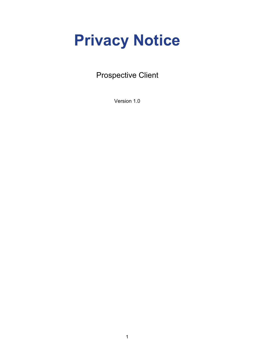# **Privacy Notice**

## Prospective Client

Version 1.0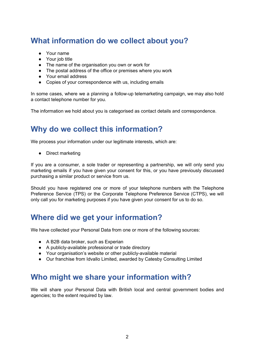## **What information do we collect about you?**

- Your name
- Your job title
- The name of the organisation you own or work for
- The postal address of the office or premises where you work
- Your email address
- Copies of your correspondence with us, including emails

In some cases, where we a planning a follow-up telemarketing campaign, we may also hold a contact telephone number for you.

The information we hold about you is categorised as contact details and correspondence.

## **Why do we collect this information?**

We process your information under our legitimate interests, which are:

● Direct marketing

If you are a consumer, a sole trader or representing a partnership, we will only send you marketing emails if you have given your consent for this, or you have previously discussed purchasing a similar product or service from us.

Should you have registered one or more of your telephone numbers with the Telephone Preference Service (TPS) or the Corporate Telephone Preference Service (CTPS), we will only call you for marketing purposes if you have given your consent for us to do so.

#### **Where did we get your information?**

We have collected your Personal Data from one or more of the following sources:

- A B2B data broker, such as Experian
- A publicly-available professional or trade directory
- Your organisation's website or other publicly-available material
- Our franchise from Idvallo Limited, awarded by Catesby Consulting Limited

#### **Who might we share your information with?**

We will share your Personal Data with British local and central government bodies and agencies; to the extent required by law.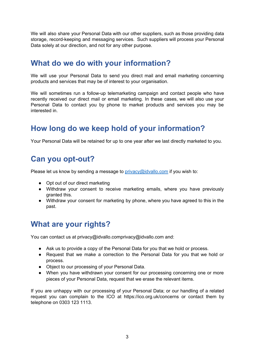We will also share your Personal Data with our other suppliers, such as those providing data storage, record-keeping and messaging services. Such suppliers will process your Personal Data solely at our direction, and not for any other purpose.

## **What do we do with your information?**

We will use your Personal Data to send you direct mail and email marketing concerning products and services that may be of interest to your organisation.

We will sometimes run a follow-up telemarketing campaign and contact people who have recently received our direct mail or email marketing. In these cases, we will also use your Personal Data to contact you by phone to market products and services you may be interested in.

## **How long do we keep hold of your information?**

Your Personal Data will be retained for up to one year after we last directly marketed to you.

## **Can you opt-out?**

Please let us know by sending a message to *[privacy@idvallo.com](mailto:privacy@idvallo.com)* if you wish to:

- Opt out of our direct marketing
- Withdraw your consent to receive marketing emails, where you have previously granted this.
- Withdraw your consent for marketing by phone, where you have agreed to this in the past.

## **What are your rights?**

You can contact us at privacy@idvallo.comprivacy@idvallo.com and:

- Ask us to provide a copy of the Personal Data for you that we hold or process.
- Request that we make a correction to the Personal Data for you that we hold or process.
- Object to our processing of your Personal Data.
- When you have withdrawn your consent for our processing concerning one or more pieces of your Personal Data, request that we erase the relevant items.

If you are unhappy with our processing of your Personal Data; or our handling of a related request you can complain to the ICO at https://ico.org.uk/concerns or contact them by telephone on 0303 123 1113.